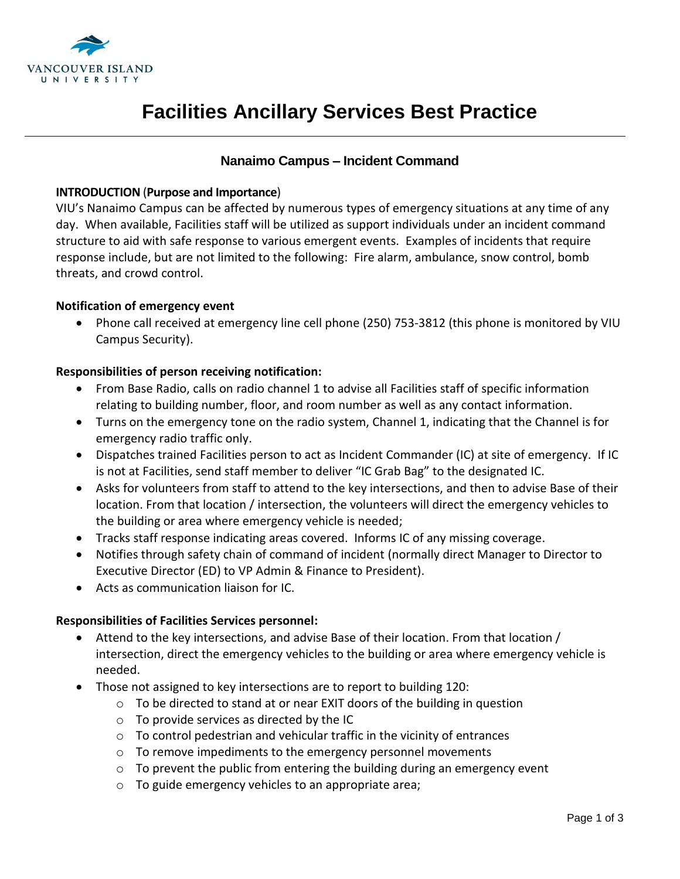

## **Nanaimo Campus – Incident Command**

### **INTRODUCTION** (**Purpose and Importance**)

VIU's Nanaimo Campus can be affected by numerous types of emergency situations at any time of any day. When available, Facilities staff will be utilized as support individuals under an incident command structure to aid with safe response to various emergent events. Examples of incidents that require response include, but are not limited to the following: Fire alarm, ambulance, snow control, bomb threats, and crowd control.

### **Notification of emergency event**

 Phone call received at emergency line cell phone (250) 753-3812 (this phone is monitored by VIU Campus Security).

### **Responsibilities of person receiving notification:**

- From Base Radio, calls on radio channel 1 to advise all Facilities staff of specific information relating to building number, floor, and room number as well as any contact information.
- Turns on the emergency tone on the radio system, Channel 1, indicating that the Channel is for emergency radio traffic only.
- Dispatches trained Facilities person to act as Incident Commander (IC) at site of emergency. If IC is not at Facilities, send staff member to deliver "IC Grab Bag" to the designated IC.
- Asks for volunteers from staff to attend to the key intersections, and then to advise Base of their location. From that location / intersection, the volunteers will direct the emergency vehicles to the building or area where emergency vehicle is needed;
- Tracks staff response indicating areas covered. Informs IC of any missing coverage.
- Notifies through safety chain of command of incident (normally direct Manager to Director to Executive Director (ED) to VP Admin & Finance to President).
- Acts as communication liaison for IC.

#### **Responsibilities of Facilities Services personnel:**

- Attend to the key intersections, and advise Base of their location. From that location / intersection, direct the emergency vehicles to the building or area where emergency vehicle is needed.
- Those not assigned to key intersections are to report to building 120:
	- o To be directed to stand at or near EXIT doors of the building in question
	- o To provide services as directed by the IC
	- $\circ$  To control pedestrian and vehicular traffic in the vicinity of entrances
	- o To remove impediments to the emergency personnel movements
	- o To prevent the public from entering the building during an emergency event
	- o To guide emergency vehicles to an appropriate area;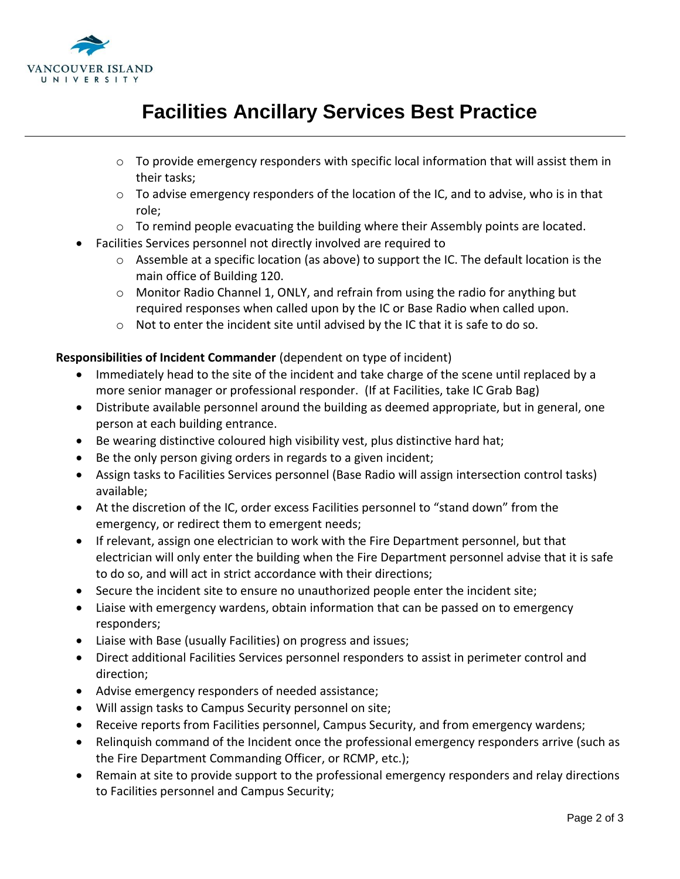

- $\circ$  To provide emergency responders with specific local information that will assist them in their tasks;
- $\circ$  To advise emergency responders of the location of the IC, and to advise, who is in that role;
- $\circ$  To remind people evacuating the building where their Assembly points are located.
- Facilities Services personnel not directly involved are required to
	- $\circ$  Assemble at a specific location (as above) to support the IC. The default location is the main office of Building 120.
	- o Monitor Radio Channel 1, ONLY, and refrain from using the radio for anything but required responses when called upon by the IC or Base Radio when called upon.
	- $\circ$  Not to enter the incident site until advised by the IC that it is safe to do so.

### **Responsibilities of Incident Commander** (dependent on type of incident)

- Immediately head to the site of the incident and take charge of the scene until replaced by a more senior manager or professional responder. (If at Facilities, take IC Grab Bag)
- Distribute available personnel around the building as deemed appropriate, but in general, one person at each building entrance.
- Be wearing distinctive coloured high visibility vest, plus distinctive hard hat;
- Be the only person giving orders in regards to a given incident;
- Assign tasks to Facilities Services personnel (Base Radio will assign intersection control tasks) available;
- At the discretion of the IC, order excess Facilities personnel to "stand down" from the emergency, or redirect them to emergent needs;
- If relevant, assign one electrician to work with the Fire Department personnel, but that electrician will only enter the building when the Fire Department personnel advise that it is safe to do so, and will act in strict accordance with their directions;
- Secure the incident site to ensure no unauthorized people enter the incident site;
- Liaise with emergency wardens, obtain information that can be passed on to emergency responders;
- Liaise with Base (usually Facilities) on progress and issues;
- Direct additional Facilities Services personnel responders to assist in perimeter control and direction;
- Advise emergency responders of needed assistance;
- Will assign tasks to Campus Security personnel on site;
- Receive reports from Facilities personnel, Campus Security, and from emergency wardens;
- Relinquish command of the Incident once the professional emergency responders arrive (such as the Fire Department Commanding Officer, or RCMP, etc.);
- Remain at site to provide support to the professional emergency responders and relay directions to Facilities personnel and Campus Security;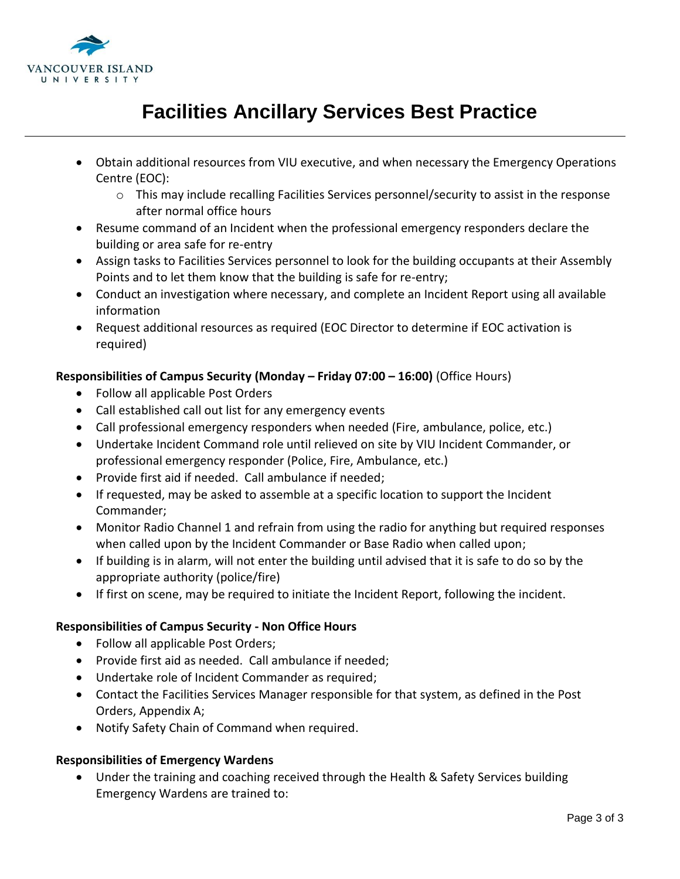

- Obtain additional resources from VIU executive, and when necessary the Emergency Operations Centre (EOC):
	- o This may include recalling Facilities Services personnel/security to assist in the response after normal office hours
- Resume command of an Incident when the professional emergency responders declare the building or area safe for re-entry
- Assign tasks to Facilities Services personnel to look for the building occupants at their Assembly Points and to let them know that the building is safe for re-entry;
- Conduct an investigation where necessary, and complete an Incident Report using all available information
- Request additional resources as required (EOC Director to determine if EOC activation is required)

## **Responsibilities of Campus Security (Monday – Friday 07:00 – 16:00)** (Office Hours)

- Follow all applicable Post Orders
- Call established call out list for any emergency events
- Call professional emergency responders when needed (Fire, ambulance, police, etc.)
- Undertake Incident Command role until relieved on site by VIU Incident Commander, or professional emergency responder (Police, Fire, Ambulance, etc.)
- Provide first aid if needed. Call ambulance if needed;
- If requested, may be asked to assemble at a specific location to support the Incident Commander;
- Monitor Radio Channel 1 and refrain from using the radio for anything but required responses when called upon by the Incident Commander or Base Radio when called upon;
- If building is in alarm, will not enter the building until advised that it is safe to do so by the appropriate authority (police/fire)
- If first on scene, may be required to initiate the Incident Report, following the incident.

### **Responsibilities of Campus Security - Non Office Hours**

- Follow all applicable Post Orders;
- Provide first aid as needed. Call ambulance if needed;
- Undertake role of Incident Commander as required;
- Contact the Facilities Services Manager responsible for that system, as defined in the Post Orders, Appendix A;
- Notify Safety Chain of Command when required.

### **Responsibilities of Emergency Wardens**

 Under the training and coaching received through the Health & Safety Services building Emergency Wardens are trained to: